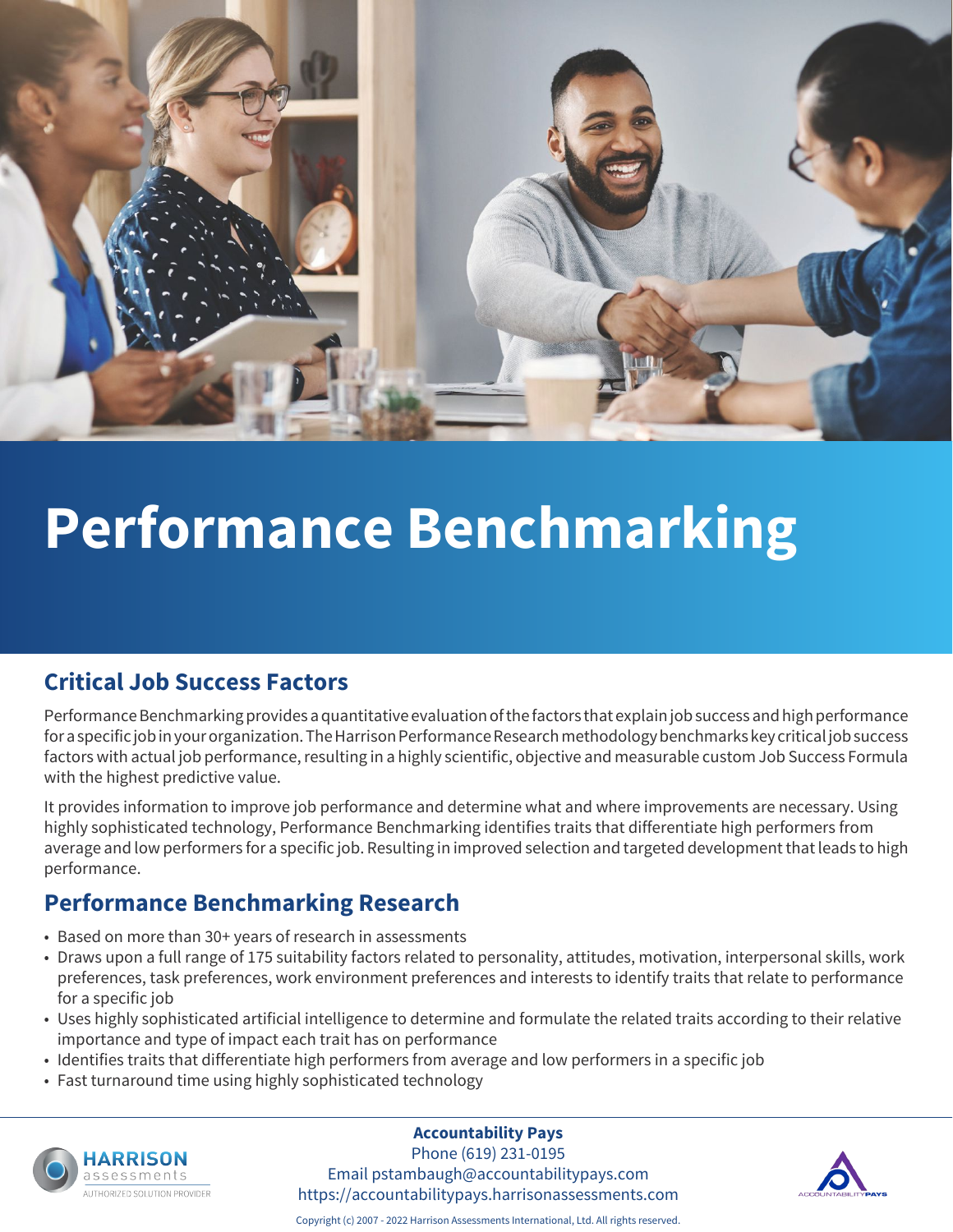

# **Performance Benchmarking**

### **Critical Job Success Factors**

Performance Benchmarking provides a quantitative evaluation of the factors that explain job success and high performance for a specific job in your organization. The Harrison Performance Research methodology benchmarks key critical job success factors with actual job performance, resulting in a highly scientific, objective and measurable custom Job Success Formula with the highest predictive value.

It provides information to improve job performance and determine what and where improvements are necessary. Using highly sophisticated technology, Performance Benchmarking identifies traits that differentiate high performers from average and low performers for a specific job. Resulting in improved selection and targeted development that leads to high performance.

### **Performance Benchmarking Research**

- Based on more than 30+ years of research in assessments
- Draws upon a full range of 175 suitability factors related to personality, attitudes, motivation, interpersonal skills, work preferences, task preferences, work environment preferences and interests to identify traits that relate to performance for a specific job
- Uses highly sophisticated artificial intelligence to determine and formulate the related traits according to their relative importance and type of impact each trait has on performance
- Identifies traits that differentiate high performers from average and low performers in a specific job
- Fast turnaround time using highly sophisticated technology



#### **Accountability Pays**

Phone (619) 231-0195 Email pstambaugh@accountabilitypays.com https://accountabilitypays.harrisonassessments.com